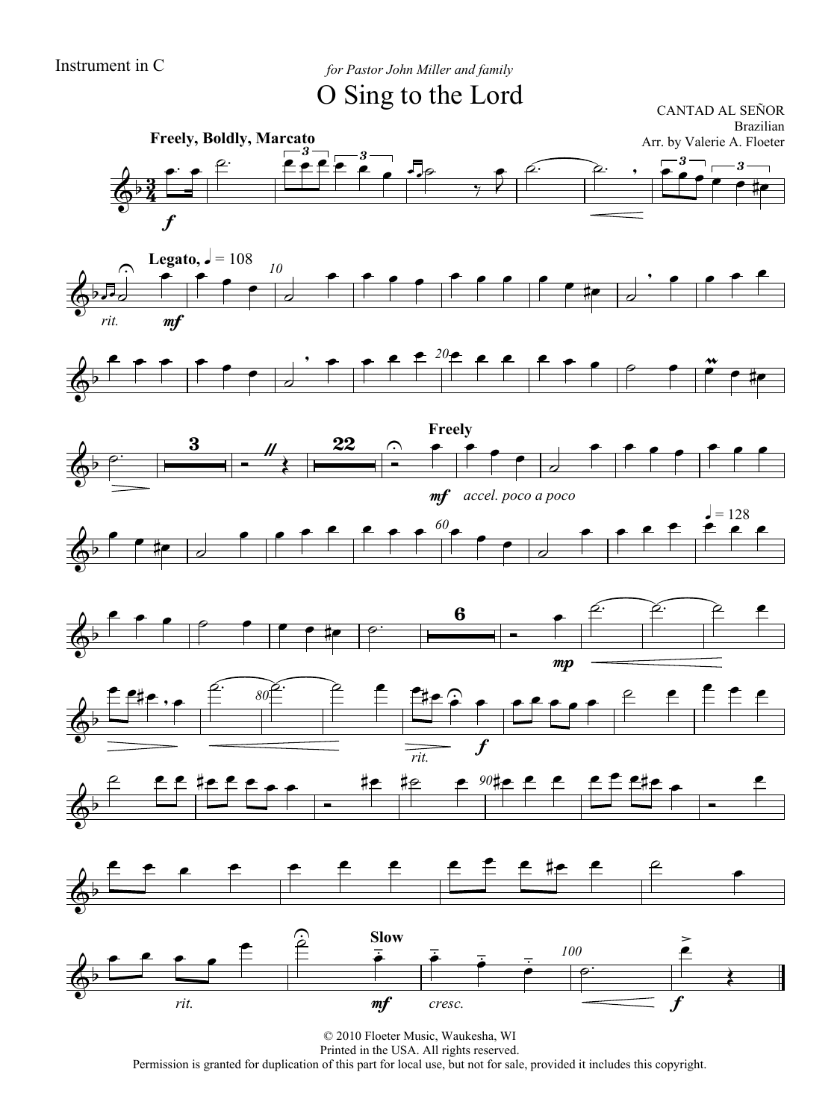Instrument in C *for Pastor John Miller and family*

O Sing to the Lord

CANTAD AL SEÑOR Brazilian





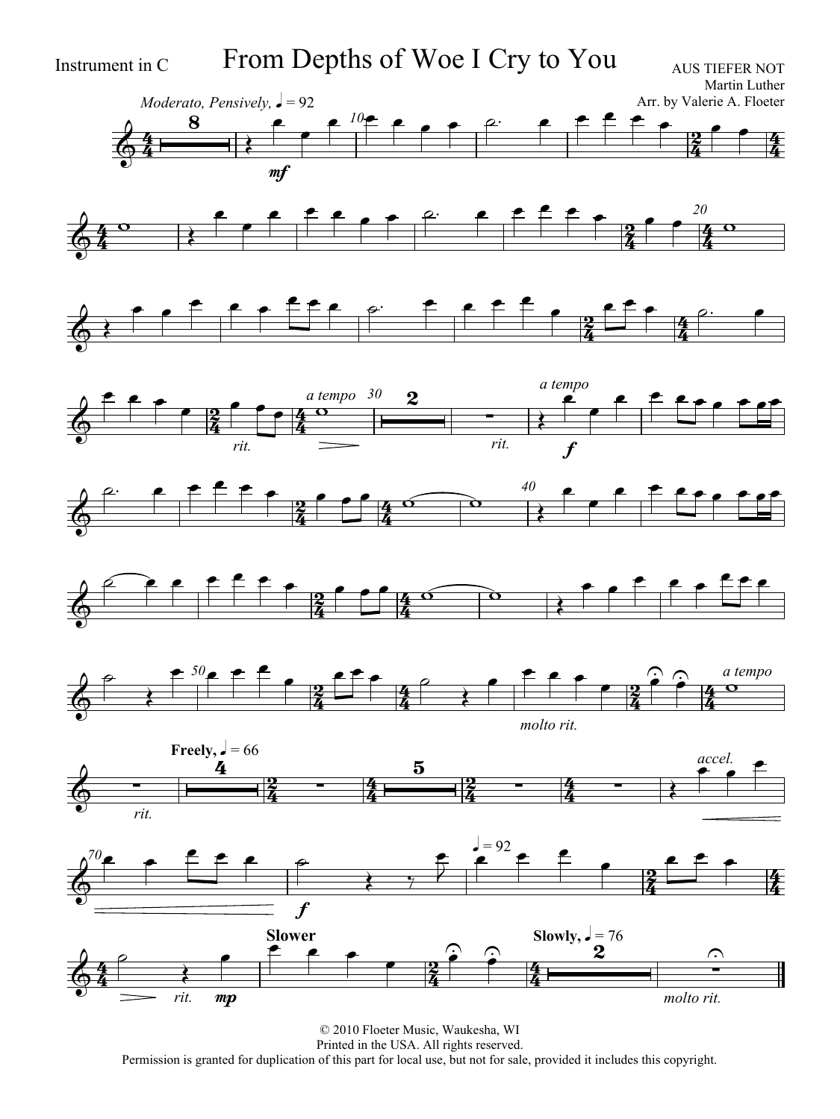

Instrument in C From Depths of Woe I Cry to You



AUS TIEFER NOT

















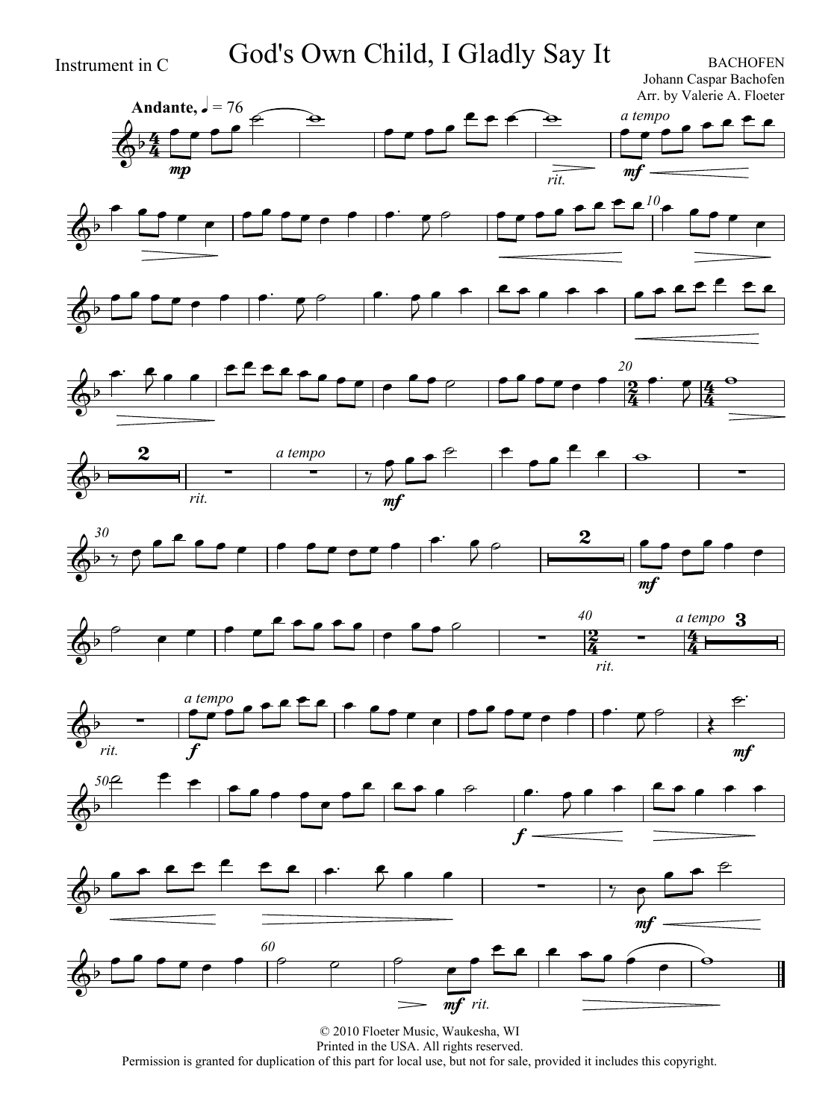Instrument in C God's Own Child, I Gladly Say It

Johann Caspar Bachofen Arr. by Valerie A. Floeter

















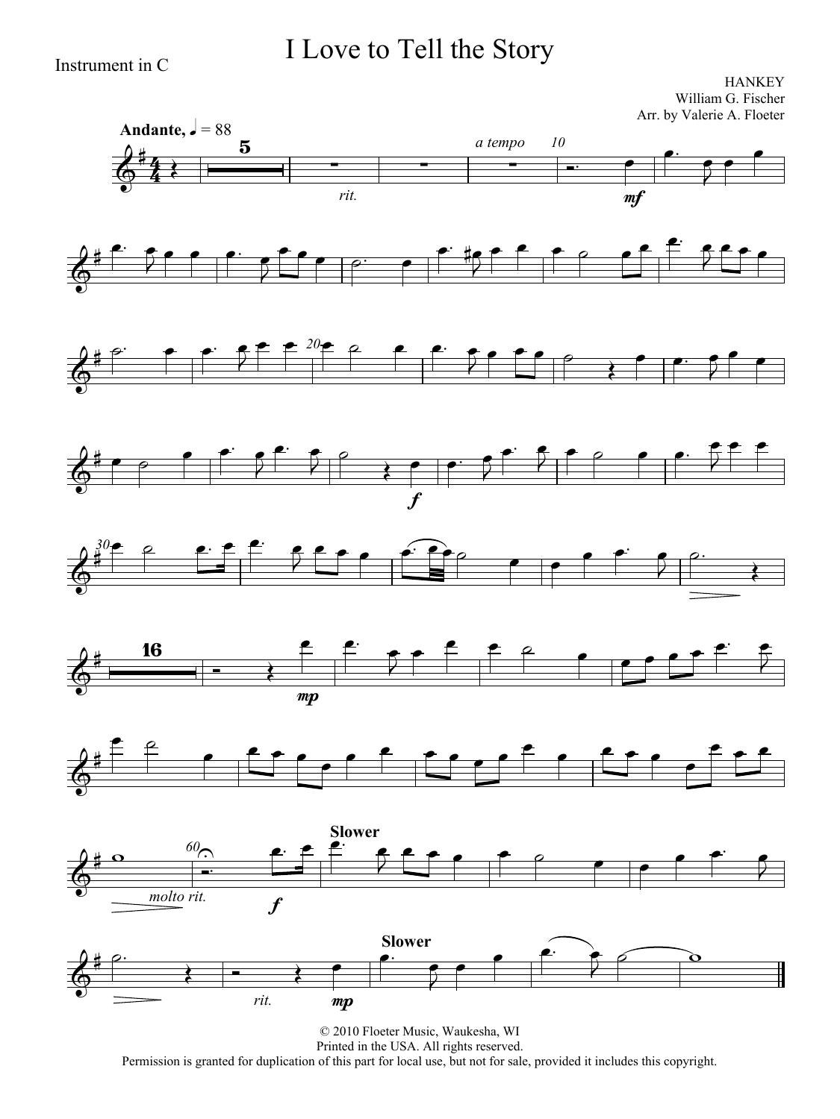## I Love to Tell the Story

Instrument in C

**HANKEY** William G. Fischer Arr. by Valerie A. Floeter

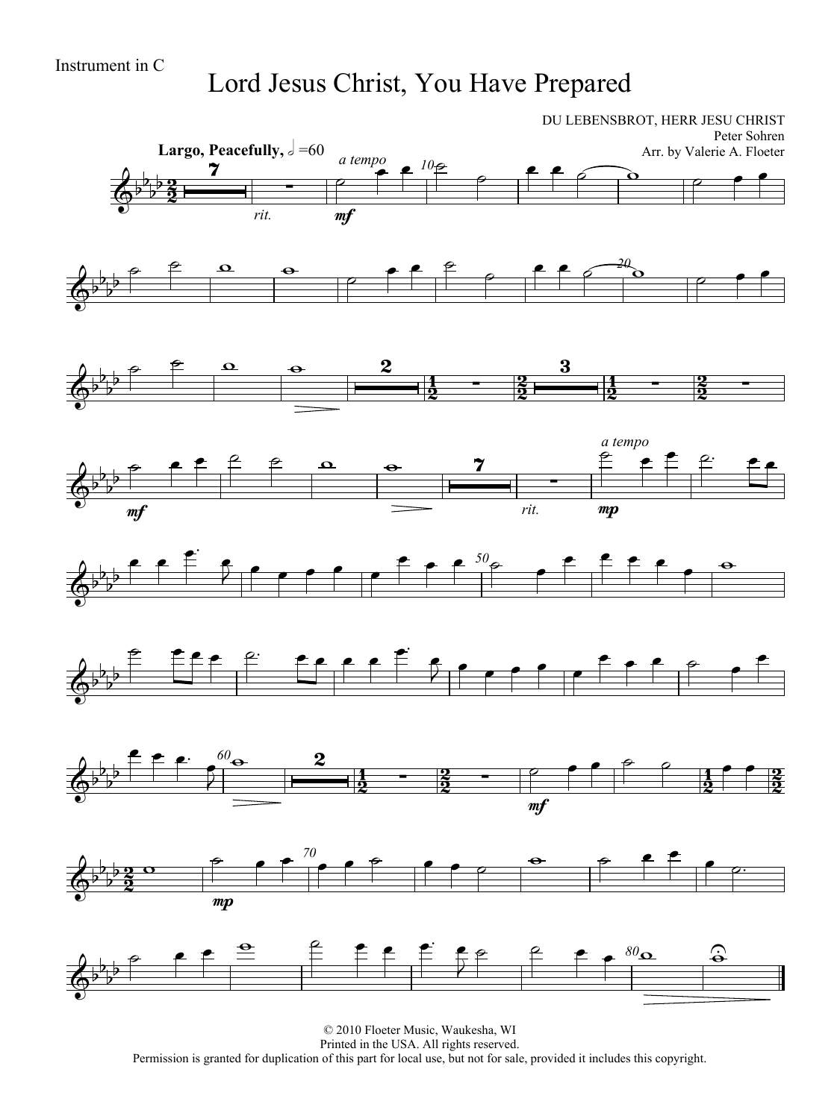Lord Jesus Christ, You Have Prepared

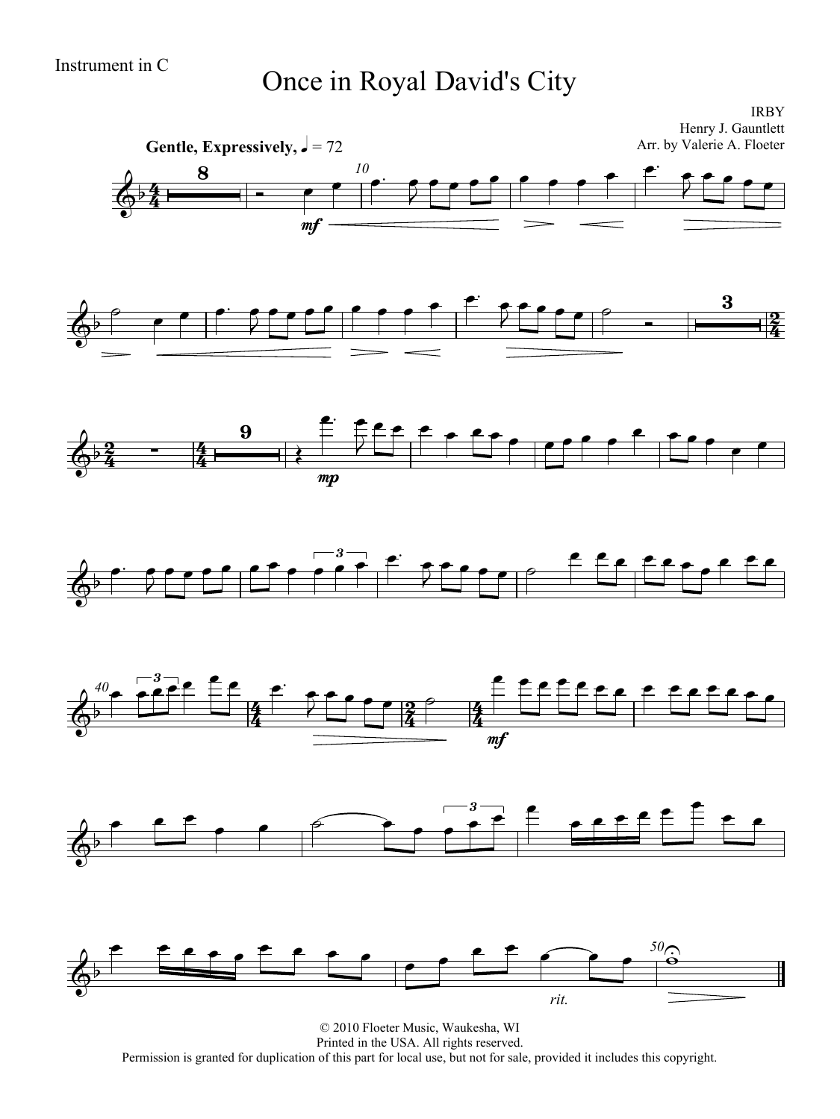# Instrument in C<br>
Once in Royal David's City

IRBY Henry J. Gauntlett



© 2010 Floeter Music, Waukesha, WI Printed in the USA. All rights reserved. Permission is granted for duplication of this part for local use, but not for sale, provided it includes this copyright.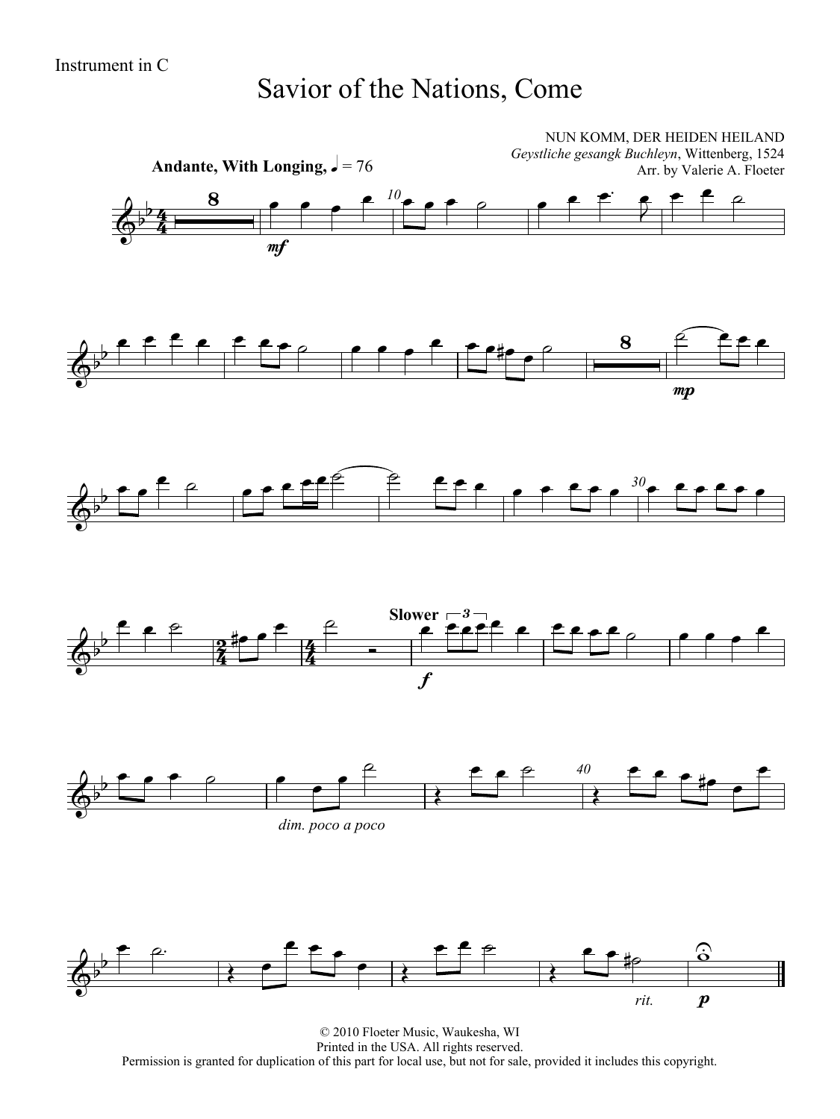### Savior of the Nations, Come



© 2010 Floeter Music, Waukesha, WI Printed in the USA. All rights reserved. Permission is granted for duplication of this part for local use, but not for sale, provided it includes this copyright.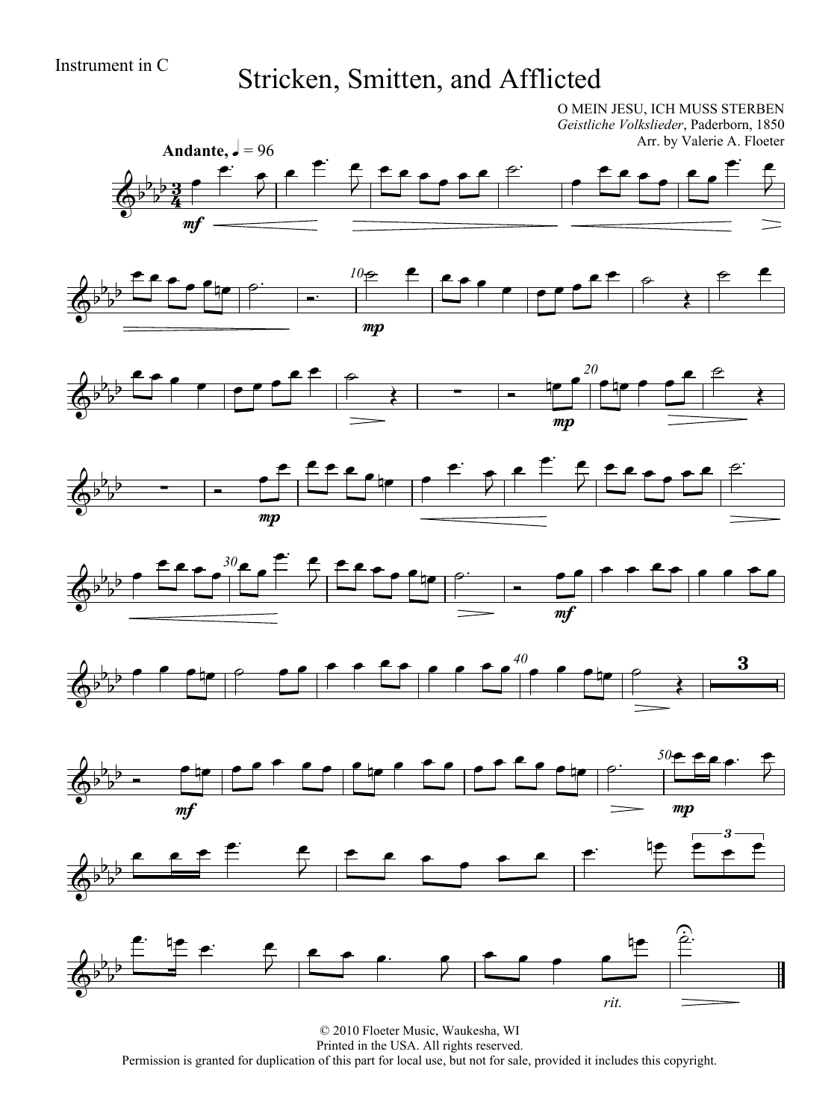## Instrument in C Stricken, Smitten, and Afflicted

O MEIN JESU, ICH MUSS STERBEN *Geistliche Volkslieder*, Paderborn, 1850 Arr. by Valerie A. Floeter

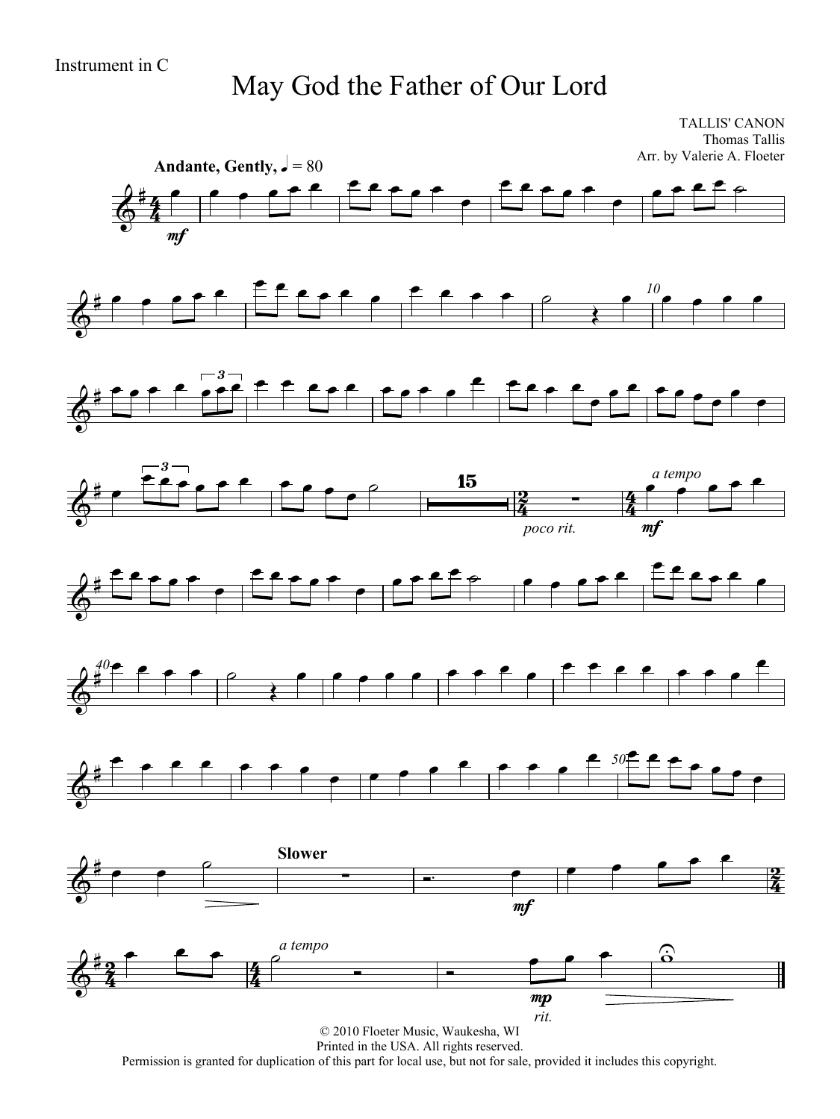## May God the Father of Our Lord

TALLIS' CANON Thomas Tallis Arr. by Valerie A. Floeter